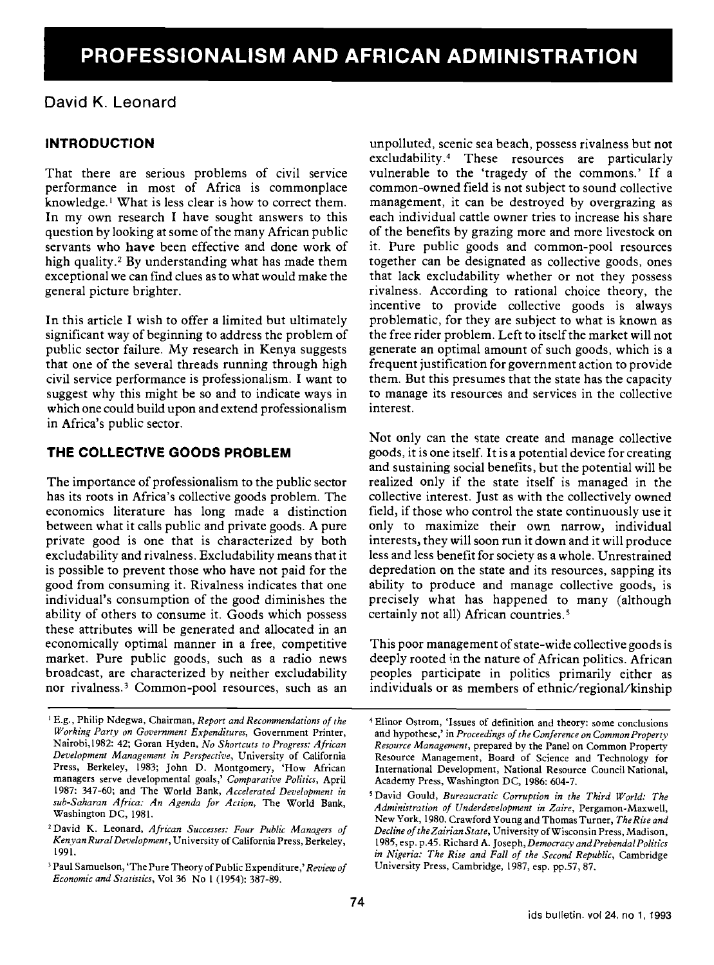# David K. Leonard

# INTRODUCTION

That there are serious problems of civil service performance in most of Africa is commonplace knowledge.' What is less clear is how to correct them. In my own research I have sought answers to this question by looking at some of the many African public servants who have been effective and done work of high quality.<sup>2</sup> By understanding what has made them exceptional we can find clues as to what would make the general picture brighter.

In this article I wish to offer a limited but ultimately significant way of beginning to address the problem of public sector failure. My research in Kenya suggests that one of the several threads running through high civil service performance is professionalism. I want to suggest why this might be so and to indicate ways in which one could build upon and extend professionalism in Africa's public sector.

# THE COLLECTIVE GOODS PROBLEM

The importance of professionalism to the public sector has its roots in Africa's collective goods problem. The economics literature has long made a distinction between what it calls public and private goods. A pure private good is one that is characterized by both excludability and rivalness. Excludability means that it is possible to prevent those who have not paid for the good from consuming it. Rivalness indicates that one individual's consumption of the good diminishes the ability of others to consume it. Goods which possess these attributes will be generated and allocated in an economically optimal manner in a free, competitive market. Pure public goods, such as a radio news broadcast, are characterized by neither excludability nor rivalness.3 Common-pool resources, such as an unpolluted, scenic sea beach, possess rivalness but not excludability.4 These resources are particularly vulnerable to the 'tragedy of the commons.' If a common-owned field is not subject to sound collective management, it can be destroyed by overgrazing as each individual cattle owner tries to increase his share of the benefits by grazing more and more livestock on it. Pure public goods and common-pool resources together can be designated as collective goods, ones that lack excludability whether or not they possess rivalness. According to rational choice theory, the incentive to provide collective goods is always problematic, for they are subject to what is known as the free rider problem. Left to itself the market will not generate an optimal amount of such goods, which is a frequent justification for government action to provide them. But this presumes that the state has the capacity to manage its resources and services in the collective interest.

Not only can the state create and manage collective goods, it is one itself. It is a potential device for creating and sustaining social benefits, but the potential will be realized only if the state itself is managed in the collective interest. Just as with the collectively owned field, if those who control the state continuously use it only to maximize their own narrow, individual interests, they will soon run it down and it will produce less and less benefit for society as a whole. Unrestrained depredation on the state and its resources, sapping its ability to produce and manage collective goods, is precisely what has happened to many (although certainly not all) African countries.5

This poor management of state-wide collective goods is deeply rooted in the nature of African politics. African peoples participate in politics primarily either as individuals or as members of ethnic/regional/kinship

<sup>&</sup>lt;sup>1</sup> E.g., Philip Ndegwa, Chairman, Report and Recommendations of the Working Party on Government Expenditures, Government Printer, Nairobi,l982: 42; Goran Hyden, No Shortcuts to Progress: African Development Management in Perspective, University of California Press, Berkeley, 1983; John D. Montgomery, 'How African managers serve developmental goals,' Comparative Politics, April 1987: 347-60; and The World Bank, Accelerated Development in sub-Saharan Africa: An Agenda for Action, The World Bank, Washington DC, 1981.

<sup>&</sup>lt;sup>2</sup> David K. Leonard, African Successes: Four Public Managers of Kenyan RuralDevelopment, University of California Press, Berkeley, 1991.

<sup>&</sup>lt;sup>3</sup> Paul Samuelson, 'The Pure Theory of Public Expenditure,' Review of Economic and Statistics, Vol 36 No 1(1954): 387-89.

Elinor Ostrom, 'Issues of definition and theory: some conclusions and hypothese,' in Proceedings of the Conference on Common Property Resource Management, prepared by the Panel on Common Property Resource Management, Board of Science and Technology for International Development, National Resource Council National, Academy Press, Washington DC, 1986: 604-7.

<sup>&#</sup>x27;David Gould, Bureaucratic Corruption in the Third World: The Administration of Underdevelopment in Zaire, Pergamon-Maxwell, New York, 1980. Crawford Young and Thomas Turner, The Rise and Decline of the Zairian State, University of Wisconsin Press, Madison, 1985, esp. p.45. Richard A. Joseph, Democracy and Prebendal Politics in Nigeria: The Rise and Fall of the Second Republic, Cambridge University Press, Cambridge, 1987, esp. pp.57, 87.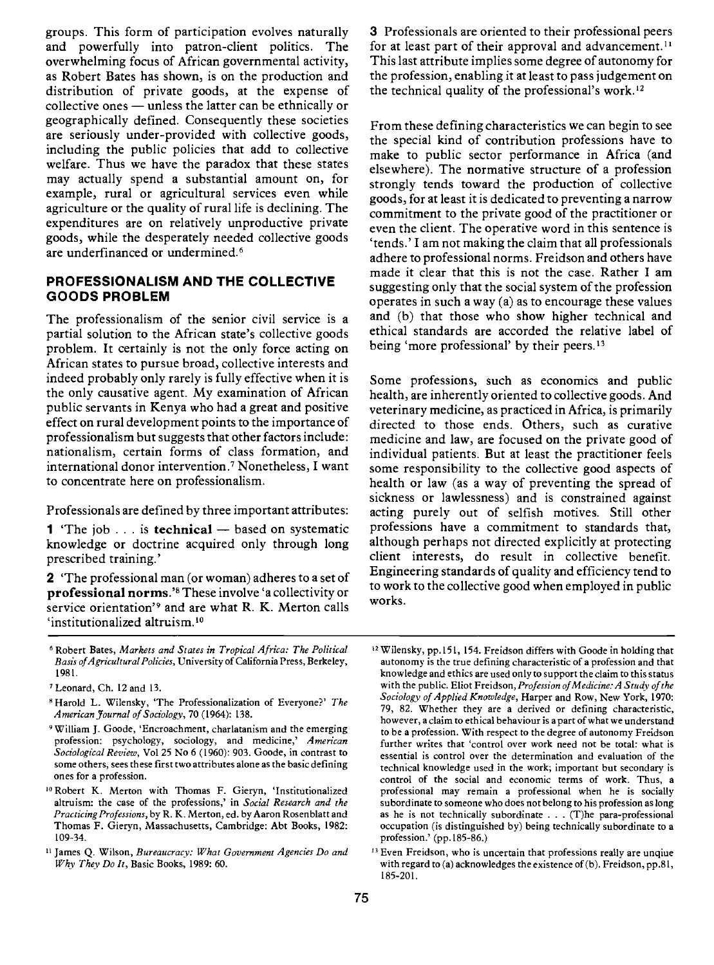groups. This form of participation evolves naturally and powerfully into patron-client politics. The overwhelming focus of African governmental activity, as Robert Bates has shown, is on the production and distribution of private goods, at the expense of collective ones — unless the latter can be ethnically or geographically defined. Consequently these societies are seriously under-provided with collective goods, including the public policies that add to collective welfare. Thus we have the paradox that these states may actually spend a substantial amount on, for example, rural or agricultural services even while agriculture or the quality of rural life is declining. The expenditures are on relatively unproductive private goods, while the desperately needed collective goods are underfinanced or undermined.<sup>6</sup>

#### PROFESSIONALISM AND THE COLLECTIVE GOODS PROBLEM

The professionalism of the senior civil service is a partial solution to the African state's collective goods problem. It certainly is not the only force acting on African states to pursue broad, collective interests and indeed probably only rarely is fully effective when it is the only causative agent. My examination of African public servants in Kenya who had a great and positive effect on rural development points to the importance of professionalism but suggests that other factors include: nationalism, certain forms of class formation, and international donor intervention.7 Nonetheless, I want to concentrate here on professionalism.

Professionals are defined by three important attributes:

**1** 'The job  $\ldots$  is **technical**  $-$  based on systematic knowledge or doctrine acquired only through long prescribed training.'

2 'The professional man (or woman) adheres to a set of professional norms.'8 These involve 'a collectivity or service orientation'9 and are what R. K. Merton calls 'institutionalized altruism.'°

Robert Bates, Markets and States in Tropical Africa: The Political Basis ofAgricultural Policies, University of California Press, Berkeley, 1981.

- 8 Harold L. Wilensky, 'The Professionalization of Everyone?' The American Journal of Sociology, 70 (1964): 138.
- William J. Goode, 'Encroachment, charlatanism and the emerging profession: psychology, sociology, and medicine,' American Sociological Review, Vol 25 No 6 (1960): 903. Goode, in contrast to some others, sees these first two attributes alone as the basic defining ones for a profession.
- <sup>10</sup> Robert K. Merton with Thomas F. Gieryn, 'Institutionalized altruism: the case of the professions,' in Social Research and the Practicing Professions, by R. K. Merton, cd. by Aaron Rosenblatt and Thomas F. Gieryn, Massachusetts, Cambridge: Abt Books, 1982: 109-34.
- <sup>11</sup> James Q. Wilson, Bureaucracy: What Government Agencies Do and Why They Do Ir, Basic Books, 1989: 60.

3 Professionals are oriented to their professional peers for at least part of their approval and advancement.<sup>11</sup> This last attribute implies some degree of autonomy for the profession, enabling it at least to pass judgement on the technical quality of the professional's work.'2

From these defining characteristics we can begin to see the special kind of contribution professions have to make to public sector performance in Africa (and elsewhere). The normative structure of a profession strongly tends toward the production of collective goods, for at least it is dedicated to preventing a narrow commitment to the private good of the practitioner or even the client. The operative word in this sentence is 'tends.' Jam not making the claim that all professionals adhere to professional norms. Freidson and others have made it clear that this is not the case. Rather I am suggesting only that the social system of the profession operates in such a way (a) as to encourage these values and (b) that those who show higher technical and ethical standards are accorded the relative label of being 'more professional' by their peers.<sup>13</sup>

Some professions, such as economics and public health, are inherently oriented to collective goods. And veterinary medicine, as practiced in Africa, is primarily directed to those ends. Others, such as curative medicine and law, are focused on the private good of individual patients. But at least the practitioner feels some responsibility to the collective good aspects of health or law (as a way of preventing the spread of sickness or lawlessness) and is constrained against acting purely out of selfish motives. Still other professions have a commitment to standards that, although perhaps not directed explicitly at protecting client interests, do result in collective benefit. Engineering standards of quality and efficiency tend to to work to the collective good when employed in public works.

Leonard, Ch. 12 and 13.

<sup>&</sup>lt;sup>12</sup> Wilensky, pp.151, 154. Freidson differs with Goode in holding that autonomy is the true defining characteristic of a profession and that knowledge and ethics are used only to support the claim to this status with the public. Eliot Freidson, Profession of Medicine: A Study of the Sociology of Applied Knowledge, Harper and Row, New York, 1970: 79, 82. Whether they are a derived or defining characteristic, however, a claim to ethical behaviour is a part of what we understand tobe a profession. With respect to the degree of autonomy Freidson further writes that 'control over work need not be total: what is essential is control over the determination and evaluation of the technical knowledge used in the work; important but secondary is control of the social and economic terms of work. Thus, a professional may remain a professional when he is socially subordinate to someone who does not belong to his profession as long as he is not technically subordinate . . . (T)he para-professional occupation (is distinguished by) being technically subordinate to a profession.' (pp.185-86.)

<sup>&</sup>lt;sup>13</sup> Even Freidson, who is uncertain that professions really are unqiue with regard to (a) acknowledges the existence of (b). Freidson, pp.81, 185-201.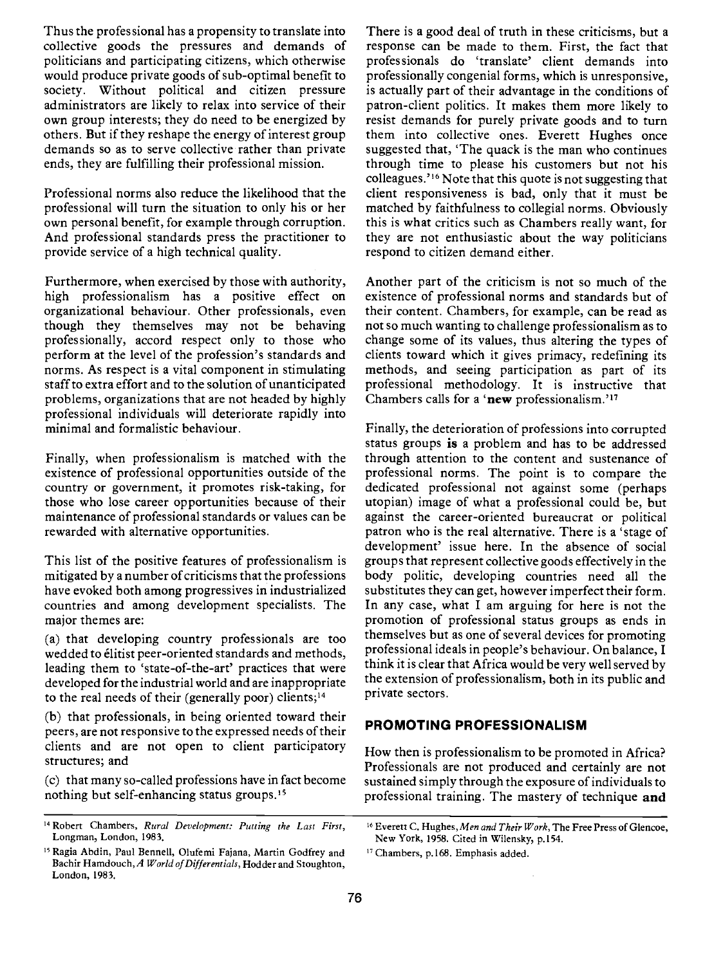Thus the professional has a propensity to translate into collective goods the pressures and demands of politicians and participating citizens, which otherwise would produce private goods of sub-optimal benefit to society. Without political and citizen pressure administrators are likely to relax into service of their own group interests; they do need to be energized by others. But if they reshape the energy of interest group demands so as to serve collective rather than private ends, they are fulfilling their professional mission.

Professional norms also reduce the likelihood that the professional will turn the situation to only his or her own personal benefit, for example through corruption. And professional standards press the practitioner to provide service of a high technical quality.

Furthermore, when exercised by those with authority, high professionalism has a positive effect on organizational behaviour. Other professionals, even though they themselves may not be behaving professionally, accord respect only to those who perform at the level of the profession's standards and norms. As respect is a vital component in stimulating staff to extra effort and to the solution of unanticipated problems, organizations that are not headed by highly professional individuals will deteriorate rapidly into minimal and formalistic behaviour.

Finally, when professionalism is matched with the existence of professional opportunities outside of the country or government, it promotes risk-taking, for those who lose career opportunities because of their maintenance of professional standards or values can be rewarded with alternative opportunities.

This list of the positive features of professionalism is mitigated by a number of criticisms that the professions have evoked both among progressives in industrialized countries and among development specialists. The major themes are:

(a) that developing country professionals are too wedded to élitist peer-oriented standards and methods, leading them to 'state-of-the-art' practices that were developed for the industrial world and are inappropriate to the real needs of their (generally poor) clients;'4

(b) that professionals, in being oriented toward their peers, are not responsive to the expressed needs of their clients and are not open to client participatory structures; and

(c) that many so-called professions have in fact become nothing but self-enhancing status groups.'5

There is a good deal of truth in these criticisms, but a response can be made to them. First, the fact that professionals do 'translate' client demands into professionally congenial forms, which is unresponsive, is actually part of their advantage in the conditions of patron-client politics. It makes them more likely to resist demands for purely private goods and to turn them into collective ones. Everett Hughes once suggested that, 'The quack is the man who continues through time to please his customers but not his colleagues."6 Note that this quote is not suggesting that client responsiveness is bad, only that it must be matched by faithfulness to collegial norms. Obviously this is what critics such as Chambers really want, for they are not enthusiastic about the way politicians respond to citizen demand either.

Another part of the criticism is not so much of the existence of professional norms and standards but of their content. Chambers, for example, can be read as not so much wanting to challenge professionalism as to change some of its values, thus altering the types of clients toward which it gives primacy, redefining its methods, and seeing participation as part of its professional methodology. It is instructive that Chambers calls for a 'new professionalism.'<sup>17</sup>

Finally, the deterioration of professions into corrupted status groups is a problem and has to be addressed through attention to the content and sustenance of professional norms. The point is to compare the dedicated professional not against some (perhaps utopian) image of what a professional could be, but against the career-oriented bureaucrat or political patron who is the real alternative. There is a 'stage of development' issue here. In the absence of social groups that represent collective goods effectively in the body politic, developing countries need all the substitutes they can get, however imperfect their form. In any case, what I am arguing for here is not the promotion of professional status groups as ends in themselves but as one of several devices for promoting professional ideals in people's behaviour. On balance, I think it is clear that Africa would be very well served by the extension of professionalism, both in its public and private sectors.

## PROMOTING PROFESSIONALISM

How then is professionalism to be promoted in Africa? Professionals are not produced and certainly are not sustained simply through the exposure of individuals to professional training. The mastery of technique and

<sup>&</sup>lt;sup>14</sup> Robert Chambers, Rural Development: Putting the Last First, Longman, London, 1983.

<sup>&</sup>lt;sup>15</sup> Ragia Abdin, Paul Bennell, Olufemi Fajana, Martin Godfrey and Bachir Hamdouch, A World of Differentials, Hodder and Stoughton, London, 1983.

<sup>&</sup>lt;sup>16</sup> Everett C. Hughes, Men and Their Work, The Free Press of Glencoe, New York, 1958. Cited in Wilensky, p.154.

<sup>&</sup>lt;sup>17</sup> Chambers, p.168. Emphasis added.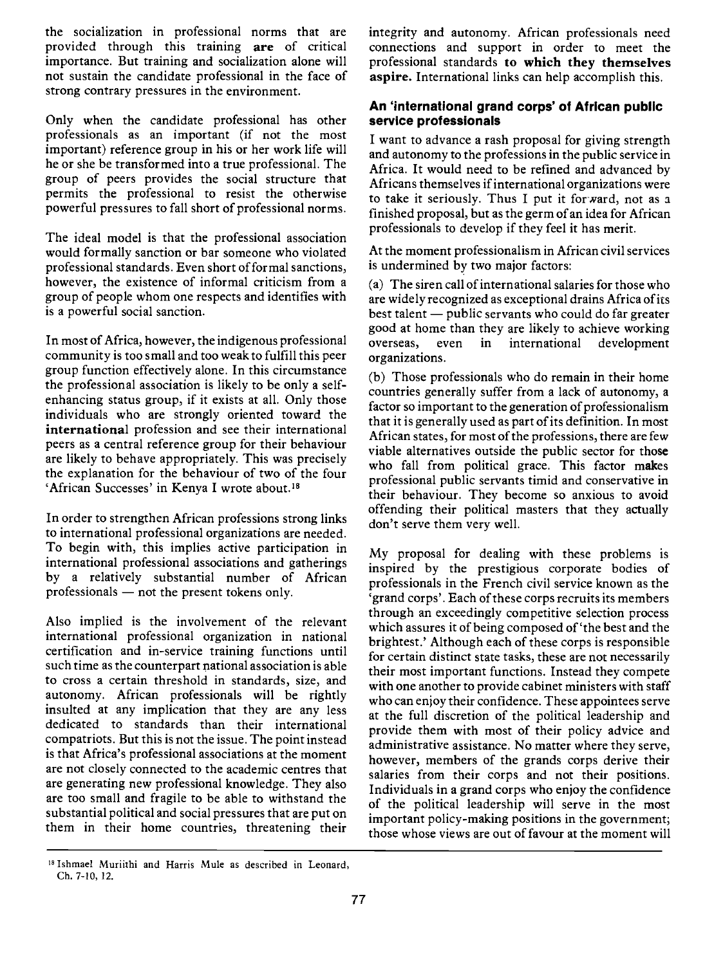the socialization in professional norms that are<br>provided through this training are of critical importance. But training and socialization alone will not sustain the candidate professional in the face of strong contrary pressures in the environment.

Only when the candidate professional has other professionals as an important (if not the most important) reference group in his or her work life will he or she be transformed into a true professional. The group of peers provides the social structure that permits the professional to resist the otherwise powerful pressures to fall short of professional norms.

The ideal model is that the professional association would formally sanction or bar someone who violated professional standards. Even short of formal sanctions, however, the existence of informal criticism from a group of people whom one respects and identifies with is a powerful social sanction.

In most of Africa, however, the indigenous professional overseas, community is too small and too weak to fulfill this peer group function effectively alone. In this circumstance the professional association is likely to be only a selfenhancing status group, if it exists at all. Only those individuals who are strongly oriented toward the international profession and see their international peers as a central reference group for their behaviour are likely to behave appropriately. This was precisely the explanation for the behaviour of two of the four 'African Successes' in Kenya I wrote about.'8

In order to strengthen African professions strong links to international professional organizations are needed. To begin with, this implies active participation in international professional associations and gatherings by a relatively substantial number of African professionals  $-$  not the present tokens only.

Also implied is the involvement of the relevant international professional organization in national certification and in-service training functions until such time as the counterpart national association is able to cross a certain threshold in standards, size, and autonomy. African professionals will be rightly insulted at any implication that they are any less dedicated to standards than their international compatriots. But this is not the issue. The point instead is that Africa's professional associations at the moment are not closely connected to the academic centres that are generating new professional knowledge. They also are too small and fragile to be able to withstand the substantial political and social pressures that are put on them in their home countries, threatening their

integrity and autonomy. African professionals need connections and support in order to meet the professional standards to which they themselves aspire. International links can help accomplish this.

## An 'international grand corps' of African public service professionals

I want to advance a rash proposal for giving strength and autonomy to the professions in the public service in Africa. It would need to be refined and advanced by Africans themselves if international organizations were to take it seriously. Thus I put it for ward, not as a finished proposal, but as the germ of an idea for African professionals to develop if they feel it has merit.

At the moment professionalism in African civil services is undermined by two major factors:

(a) The siren call of international salaries for those who are widely recognized as exceptional drains Africa of its  $best$  talent  $-$  public servants who could do far greater good at home than they are likely to achieve working even in international development organizations.

(b) Those professionals who do remain in their home countries generally suffer from a lack of autonomy, a factor so important to the generation of professionalism that it is generally used as part of its definition. In most African states, for most of the professions, there are few viable alternatives outside the public sector for those who fall from political grace. This factor makes professional public servants timid and conservative in their behaviour. They become so anxious to avoid offending their political masters that they actually don't serve them very well.

My proposal for dealing with these problems is inspired by the prestigious corporate bodies of professionals in the French civil service known as the 'grand corps'. Each of these corps recruits its members through an exceedingly competitive selection process which assures it of being composed of 'the best and the brightest.' Although each of these corps is responsible for certain distinct state tasks, these are not necessarily their most important functions. Instead they compete with one another to provide cabinet ministers with staff who can enjoy their confidence. These appointees serve at the full discretion of the political leadership and provide them with most of their policy advice and administrative assistance. No matter where they serve, however, members of the grands corps derive their salaries from their corps and not their positions. Individuals in a grand corps who enjoy the confidence of the political leadership will serve in the most important policy-making positions in the government; those whose views are out of favour at the moment will

<sup>&</sup>lt;sup>18</sup> Ishmael Muriithi and Harris Mule as described in Leonard, Ch. 7-10, 12.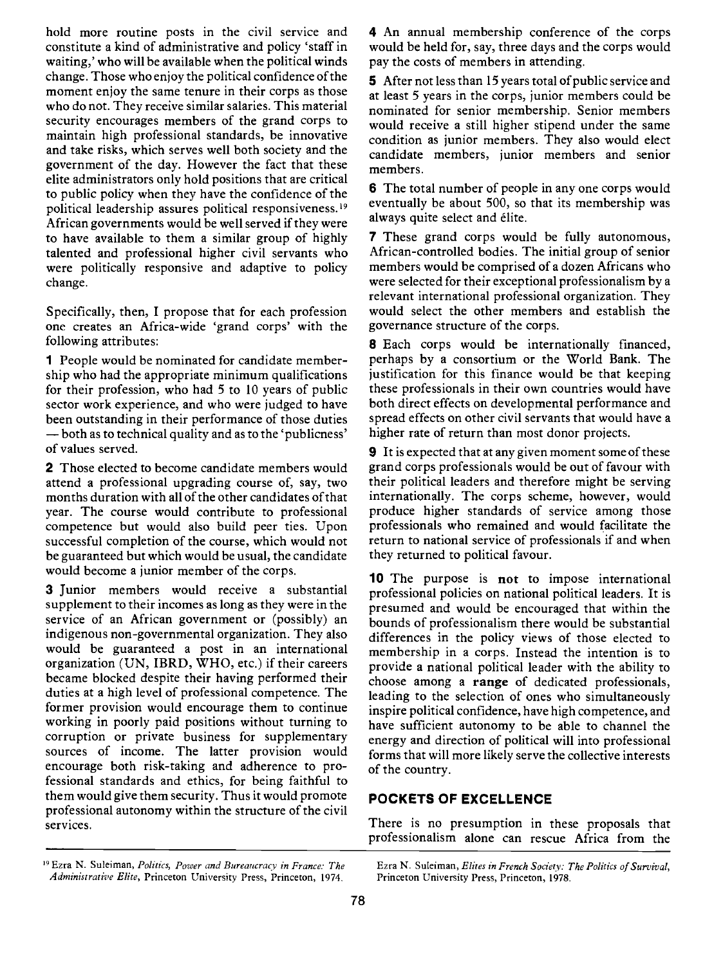hold more routine posts in the civil service and constitute a kind of administrative and policy 'staff in waiting,' who will be available when the political winds change. Those who enjoy the political confidence of the moment enjoy the same tenure in their corps as those who do not. They receive similar salaries. This material security encourages members of the grand corps to maintain high professional standards, be innovative and take risks, which serves well both society and the government of the day. However the fact that these elite administrators only hold positions that are critical to public policy when they have the confidence of the political leadership assures political responsiveness.'9 African governments would be well served if they were to have available to them a similar group of highly talented and professional higher civil servants who were politically responsive and adaptive to policy change.

Specifically, then, I propose that for each profession one creates an Africa-wide 'grand corps' with the following attributes

1 People would be nominated for candidate membership who had the appropriate minimum qualifications for their profession, who had 5 to 10 years of public sector work experience, and who were judged to have been outstanding in their performance of those duties - both as to technical quality and as to the 'publicness' of values served.

2 Those elected to become candidate members would attend a professional upgrading course of, say, two months duration with all of the other candidates of that year. The course would contribute to professional competence but would also build peer ties. Upon successful completion of the course, which would not be guaranteed but which would be usual, the candidate would become a junior member of the corps.

3 Junior members would receive a substantial supplement to their incomes as long as they were in the service of an African government or (possibly) an indigenous non-governmental organization. They also would be guaranteed a post in an international organization (UN, IBRD, WHO, etc.) if their careers became blocked despite their having performed their duties at a high level of professional competence. The former provision would encourage them to continue working in poorly paid positions without turning to corruption or private business for supplementary sources of income. The latter provision would encourage both risk-taking and adherence to professional standards and ethics, for being faithful to them would give them security. Thus it would promote professional autonomy within the structure of the civil services.

<sup>19</sup> Ezra N. Suleiman, Politics, Power and Bureaucracy in France: The Ezra N. Suleiman, Elites in French Society: The Politics of Survival, Administrative Elite, Princeton University Press, Princeton, 1974. Princeton University Press, Princeton, 1978.

4 An annual membership conference of the corps would be held for, say, three days and the corps would pay the costs of members in attending.

5 After not less than 15 years total of public service and at least 5 years in the corps, junior members could be nominated for senior membership. Senior members would receive a still higher stipend under the same condition as junior members. They also would elect candidate members, junior members and senior members.

6 The total number of people in any one corps would eventually be about 500, so that its membership was always quite select and élite.

7 These grand corps would be fully autonomous, African-controlled bodies. The initial group of senior members would be comprised of a dozen Africans who were selected for their exceptional professionalism by a relevant international professional organization. They would select the other members and establish the governance structure of the corps.

8 Each corps would be internationally financed, perhaps by a consortium or the World Bank. The justification for this finance would be that keeping these professionals in their own countries would have both direct effects on developmental performance and spread effects on other civil servants that would have a higher rate of return than most donor projects.

9 It is expected that at any given moment some of these grand corps professionals would be out of favour with their political leaders and therefore might be serving internationally. The corps scheme, however, would produce higher standards of service among those professionals who remained and would facilitate the return to national service of professionals if and when they returned to political favour.

10 The purpose is not to impose international professional policies on national political leaders. It is presumed and would be encouraged that within the bounds of professionalism there would be substantial differences in the policy views of those elected to membership in a corps. Instead the intention is to provide a national political leader with the ability to choose among a range of dedicated professionals, leading to the selection of ones who simultaneously inspire political confidence, have high competence, and have sufficient autonomy to be able to channel the energy and direction of political will into professional forms that will more likely serve the collective interests of the country.

## POCKETS OF EXCELLENCE

There is no presumption in these proposals that professionalism alone can rescue Africa from the